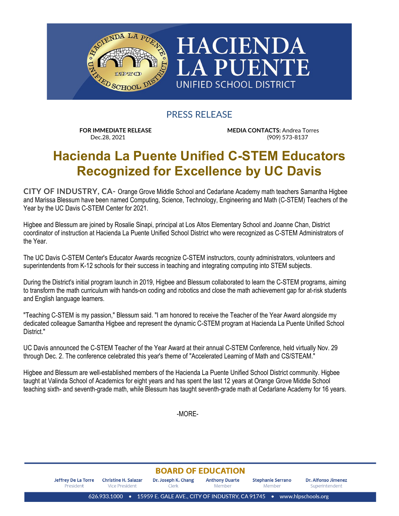

PRESS RELEASE

**FOR IMMEDIATE RELEASE MEDIA CONTACTS:** Andrea Torres Dec.28, 2021<br>
Dec.28, 2021 (909) (909) 573-8137

## **Hacienda La Puente Unified C-STEM Educators Recognized for Excellence by UC Davis**

**CITY OF INDUSTRY, CA-** Orange Grove Middle School and Cedarlane Academy math teachers Samantha Higbee and Marissa Blessum have been named Computing, Science, Technology, Engineering and Math (C-STEM) Teachers of the Year by the UC Davis C-STEM Center for 2021.

Higbee and Blessum are joined by Rosalie Sinapi, principal at Los Altos Elementary School and Joanne Chan, District coordinator of instruction at Hacienda La Puente Unified School District who were recognized as C-STEM Administrators of the Year.

The UC Davis C-STEM Center's Educator Awards recognize C-STEM instructors, county administrators, volunteers and superintendents from K-12 schools for their success in teaching and integrating computing into STEM subjects.

During the District's initial program launch in 2019, Higbee and Blessum collaborated to learn the C-STEM programs, aiming to transform the math curriculum with hands-on coding and robotics and close the math achievement gap for at-risk students and English language learners.

"Teaching C-STEM is my passion," Blessum said. "I am honored to receive the Teacher of the Year Award alongside my dedicated colleague Samantha Higbee and represent the dynamic C-STEM program at Hacienda La Puente Unified School District."

UC Davis announced the C-STEM Teacher of the Year Award at their annual C-STEM Conference, held virtually Nov. 29 through Dec. 2. The conference celebrated this year's theme of "Accelerated Learning of Math and CS/STEAM."

Higbee and Blessum are well-established members of the Hacienda La Puente Unified School District community. Higbee taught at Valinda School of Academics for eight years and has spent the last 12 years at Orange Grove Middle School teaching sixth- and seventh-grade math, while Blessum has taught seventh-grade math at Cedarlane Academy for 16 years.

-MORE-

## **BOARD OF EDUCATION**

**Jeffrey De La Torre Christine H. Salazar** Dr. Joseph K. Chang **Anthony Duarte Stephanie Serrano** Dr. Alfonso Jimenez President Vice President Clerk Member Member Superintendent